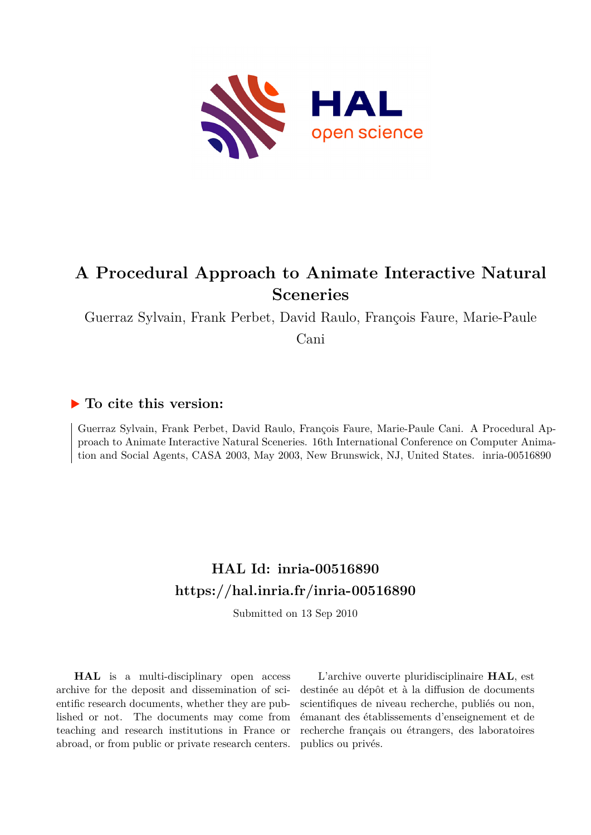

# **A Procedural Approach to Animate Interactive Natural Sceneries**

Guerraz Sylvain, Frank Perbet, David Raulo, François Faure, Marie-Paule

Cani

## **To cite this version:**

Guerraz Sylvain, Frank Perbet, David Raulo, François Faure, Marie-Paule Cani. A Procedural Approach to Animate Interactive Natural Sceneries. 16th International Conference on Computer Animation and Social Agents, CASA 2003, May 2003, New Brunswick, NJ, United States. inria-00516890

## **HAL Id: inria-00516890 <https://hal.inria.fr/inria-00516890>**

Submitted on 13 Sep 2010

**HAL** is a multi-disciplinary open access archive for the deposit and dissemination of scientific research documents, whether they are published or not. The documents may come from teaching and research institutions in France or abroad, or from public or private research centers.

L'archive ouverte pluridisciplinaire **HAL**, est destinée au dépôt et à la diffusion de documents scientifiques de niveau recherche, publiés ou non, émanant des établissements d'enseignement et de recherche français ou étrangers, des laboratoires publics ou privés.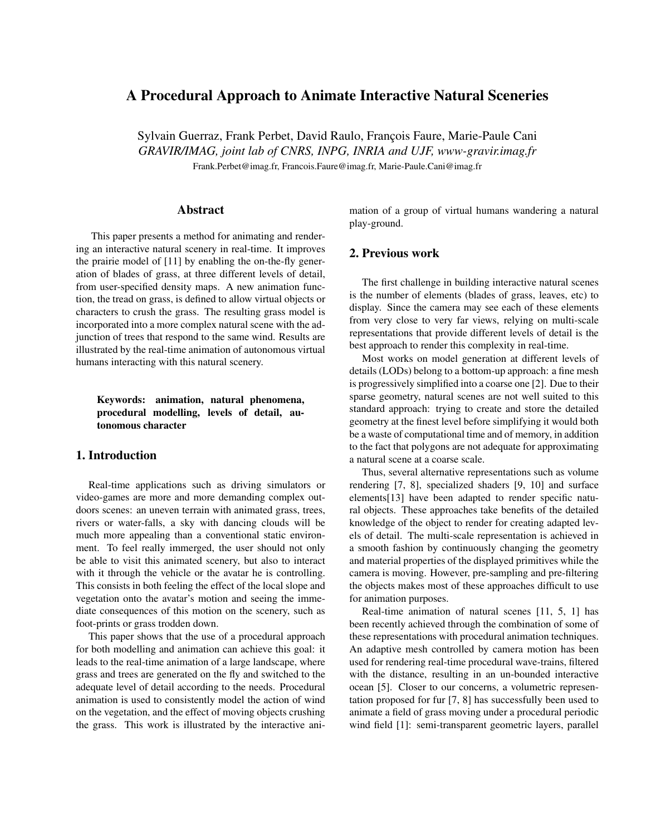### **A Procedural Approach to Animate Interactive Natural Sceneries**

Sylvain Guerraz, Frank Perbet, David Raulo, François Faure, Marie-Paule Cani *GRAVIR/IMAG, joint lab of CNRS, INPG, INRIA and UJF, www-gravir.imag.fr*

Frank.Perbet@imag.fr, Francois.Faure@imag.fr, Marie-Paule.Cani@imag.fr

#### **Abstract**

This paper presents a method for animating and rendering an interactive natural scenery in real-time. It improves the prairie model of [11] by enabling the on-the-fly generation of blades of grass, at three different levels of detail, from user-specified density maps. A new animation function, the tread on grass, is defined to allow virtual objects or characters to crush the grass. The resulting grass model is incorporated into a more complex natural scene with the adjunction of trees that respond to the same wind. Results are illustrated by the real-time animation of autonomous virtual humans interacting with this natural scenery.

**Keywords: animation, natural phenomena, procedural modelling, levels of detail, autonomous character**

#### **1. Introduction**

Real-time applications such as driving simulators or video-games are more and more demanding complex outdoors scenes: an uneven terrain with animated grass, trees, rivers or water-falls, a sky with dancing clouds will be much more appealing than a conventional static environment. To feel really immerged, the user should not only be able to visit this animated scenery, but also to interact with it through the vehicle or the avatar he is controlling. This consists in both feeling the effect of the local slope and vegetation onto the avatar's motion and seeing the immediate consequences of this motion on the scenery, such as foot-prints or grass trodden down.

This paper shows that the use of a procedural approach for both modelling and animation can achieve this goal: it leads to the real-time animation of a large landscape, where grass and trees are generated on the fly and switched to the adequate level of detail according to the needs. Procedural animation is used to consistently model the action of wind on the vegetation, and the effect of moving objects crushing the grass. This work is illustrated by the interactive animation of a group of virtual humans wandering a natural play-ground.

#### **2. Previous work**

The first challenge in building interactive natural scenes is the number of elements (blades of grass, leaves, etc) to display. Since the camera may see each of these elements from very close to very far views, relying on multi-scale representations that provide different levels of detail is the best approach to render this complexity in real-time.

Most works on model generation at different levels of details (LODs) belong to a bottom-up approach: a fine mesh is progressively simplified into a coarse one [2]. Due to their sparse geometry, natural scenes are not well suited to this standard approach: trying to create and store the detailed geometry at the finest level before simplifying it would both be a waste of computational time and of memory, in addition to the fact that polygons are not adequate for approximating a natural scene at a coarse scale.

Thus, several alternative representations such as volume rendering [7, 8], specialized shaders [9, 10] and surface elements[13] have been adapted to render specific natural objects. These approaches take benefits of the detailed knowledge of the object to render for creating adapted levels of detail. The multi-scale representation is achieved in a smooth fashion by continuously changing the geometry and material properties of the displayed primitives while the camera is moving. However, pre-sampling and pre-filtering the objects makes most of these approaches difficult to use for animation purposes.

Real-time animation of natural scenes [11, 5, 1] has been recently achieved through the combination of some of these representations with procedural animation techniques. An adaptive mesh controlled by camera motion has been used for rendering real-time procedural wave-trains, filtered with the distance, resulting in an un-bounded interactive ocean [5]. Closer to our concerns, a volumetric representation proposed for fur [7, 8] has successfully been used to animate a field of grass moving under a procedural periodic wind field [1]: semi-transparent geometric layers, parallel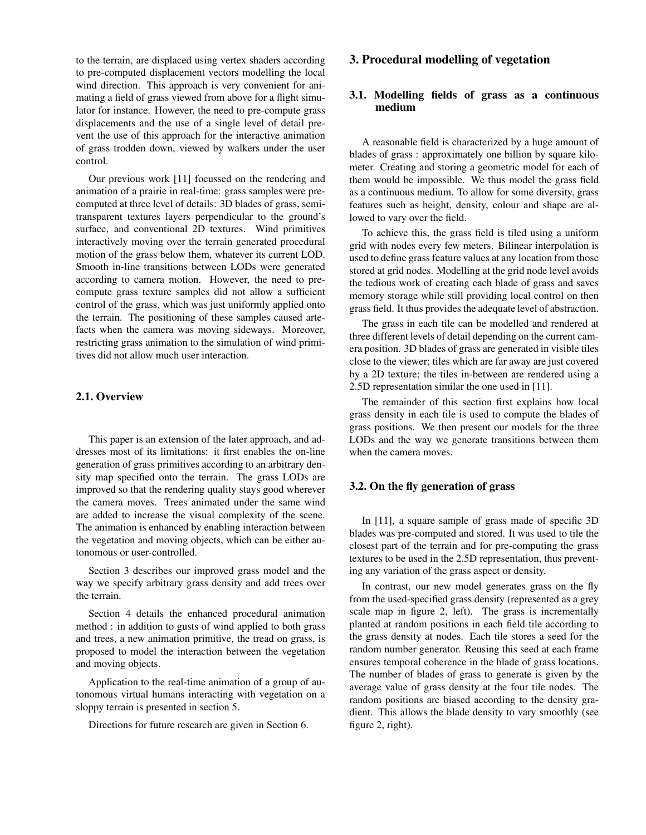to the terrain, are displaced using vertex shaders according to pre-computed displacement vectors modelling the local wind direction. This approach is very convenient for animating a field of grass viewed from above for a flight simulator for instance. However, the need to pre-compute grass displacements and the use of a single level of detail prevent the use of this approach for the interactive animation of grass trodden down, viewed by walkers under the user control.

Our previous work [11] focussed on the rendering and animation of a prairie in real-time: grass samples were precomputed at three level of details: 3D blades of grass, semitransparent textures layers perpendicular to the ground's surface, and conventional 2D textures. Wind primitives interactively moving over the terrain generated procedural motion of the grass below them, whatever its current LOD. Smooth in-line transitions between LODs were generated according to camera motion. However, the need to precompute grass texture samples did not allow a sufficient control of the grass, which was just uniformly applied onto the terrain. The positioning of these samples caused artefacts when the camera was moving sideways. Moreover, restricting grass animation to the simulation of wind primitives did not allow much user interaction.

#### **2.1. Overview**

This paper is an extension of the later approach, and addresses most of its limitations: it first enables the on-line generation of grass primitives according to an arbitrary density map specified onto the terrain. The grass LODs are improved so that the rendering quality stays good wherever the camera moves. Trees animated under the same wind are added to increase the visual complexity of the scene. The animation is enhanced by enabling interaction between the vegetation and moving objects, which can be either autonomous or user-controlled.

Section 3 describes our improved grass model and the way we specify arbitrary grass density and add trees over the terrain.

Section 4 details the enhanced procedural animation method : in addition to gusts of wind applied to both grass and trees, a new animation primitive, the tread on grass, is proposed to model the interaction between the vegetation and moving objects.

Application to the real-time animation of a group of autonomous virtual humans interacting with vegetation on a sloppy terrain is presented in section 5.

Directions for future research are given in Section 6.

#### **3. Procedural modelling of vegetation**

#### **3.1. Modelling fields of grass as a continuous medium**

A reasonable field is characterized by a huge amount of blades of grass : approximately one billion by square kilometer. Creating and storing a geometric model for each of them would be impossible. We thus model the grass field as a continuous medium. To allow for some diversity, grass features such as height, density, colour and shape are allowed to vary over the field.

To achieve this, the grass field is tiled using a uniform grid with nodes every few meters. Bilinear interpolation is used to define grass feature values at any location from those stored at grid nodes. Modelling at the grid node level avoids the tedious work of creating each blade of grass and saves memory storage while still providing local control on then grass field. It thus provides the adequate level of abstraction.

The grass in each tile can be modelled and rendered at three different levels of detail depending on the current camera position. 3D blades of grass are generated in visible tiles close to the viewer; tiles which are far away are just covered by a 2D texture; the tiles in-between are rendered using a 2.5D representation similar the one used in [11].

The remainder of this section first explains how local grass density in each tile is used to compute the blades of grass positions. We then present our models for the three LODs and the way we generate transitions between them when the camera moves.

#### **3.2. On the fly generation of grass**

In [11], a square sample of grass made of specific 3D blades was pre-computed and stored. It was used to tile the closest part of the terrain and for pre-computing the grass textures to be used in the 2.5D representation, thus preventing any variation of the grass aspect or density.

In contrast, our new model generates grass on the fly from the used-specified grass density (represented as a grey scale map in figure 2, left). The grass is incrementally planted at random positions in each field tile according to the grass density at nodes. Each tile stores a seed for the random number generator. Reusing this seed at each frame ensures temporal coherence in the blade of grass locations. The number of blades of grass to generate is given by the average value of grass density at the four tile nodes. The random positions are biased according to the density gradient. This allows the blade density to vary smoothly (see figure 2, right).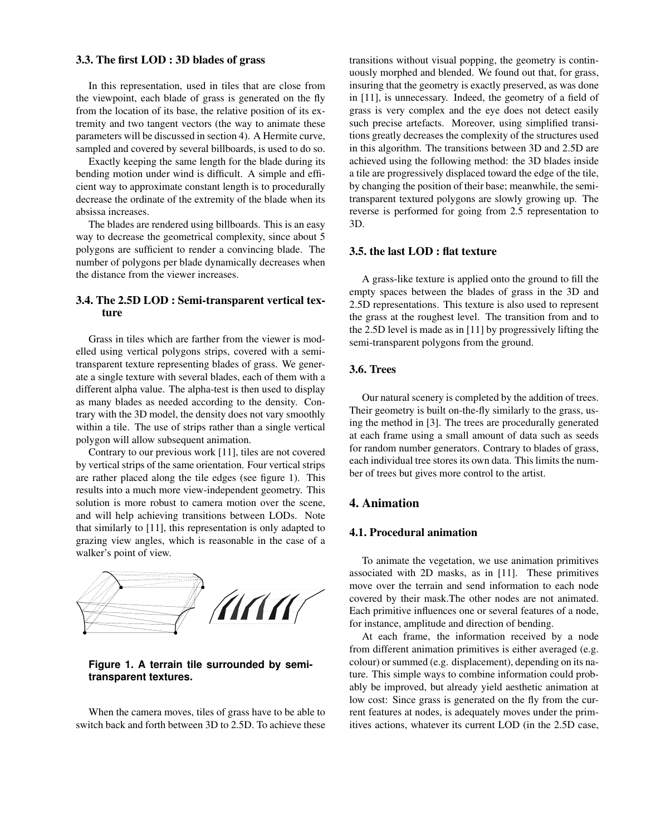#### **3.3. The first LOD : 3D blades of grass**

In this representation, used in tiles that are close from the viewpoint, each blade of grass is generated on the fly from the location of its base, the relative position of its extremity and two tangent vectors (the way to animate these parameters will be discussed in section 4). A Hermite curve, sampled and covered by several billboards, is used to do so.

Exactly keeping the same length for the blade during its bending motion under wind is difficult. A simple and efficient way to approximate constant length is to procedurally decrease the ordinate of the extremity of the blade when its absissa increases.

The blades are rendered using billboards. This is an easy way to decrease the geometrical complexity, since about 5 polygons are sufficient to render a convincing blade. The number of polygons per blade dynamically decreases when the distance from the viewer increases.

#### **3.4. The 2.5D LOD : Semi-transparent vertical texture**

Grass in tiles which are farther from the viewer is modelled using vertical polygons strips, covered with a semitransparent texture representing blades of grass. We generate a single texture with several blades, each of them with a different alpha value. The alpha-test is then used to display as many blades as needed according to the density. Contrary with the 3D model, the density does not vary smoothly within a tile. The use of strips rather than a single vertical polygon will allow subsequent animation.

Contrary to our previous work [11], tiles are not covered by vertical strips of the same orientation. Four vertical strips are rather placed along the tile edges (see figure 1). This results into a much more view-independent geometry. This solution is more robust to camera motion over the scene, and will help achieving transitions between LODs. Note that similarly to [11], this representation is only adapted to grazing view angles, which is reasonable in the case of a walker's point of view.



**Figure 1. A terrain tile surrounded by semitransparent textures.**

When the camera moves, tiles of grass have to be able to switch back and forth between 3D to 2.5D. To achieve these transitions without visual popping, the geometry is continuously morphed and blended. We found out that, for grass, insuring that the geometry is exactly preserved, as was done in [11], is unnecessary. Indeed, the geometry of a field of grass is very complex and the eye does not detect easily such precise artefacts. Moreover, using simplified transitions greatly decreases the complexity of the structures used in this algorithm. The transitions between 3D and 2.5D are achieved using the following method: the 3D blades inside a tile are progressively displaced toward the edge of the tile, by changing the position of their base; meanwhile, the semitransparent textured polygons are slowly growing up. The reverse is performed for going from 2.5 representation to 3D.

#### **3.5. the last LOD : flat texture**

A grass-like texture is applied onto the ground to fill the empty spaces between the blades of grass in the 3D and 2.5D representations. This texture is also used to represent the grass at the roughest level. The transition from and to the 2.5D level is made as in [11] by progressively lifting the semi-transparent polygons from the ground.

#### **3.6. Trees**

Our natural scenery is completed by the addition of trees. Their geometry is built on-the-fly similarly to the grass, using the method in [3]. The trees are procedurally generated at each frame using a small amount of data such as seeds for random number generators. Contrary to blades of grass, each individual tree stores its own data. This limits the number of trees but gives more control to the artist.

#### **4. Animation**

#### **4.1. Procedural animation**

To animate the vegetation, we use animation primitives associated with 2D masks, as in [11]. These primitives move over the terrain and send information to each node covered by their mask.The other nodes are not animated. Each primitive influences one or several features of a node, for instance, amplitude and direction of bending.

At each frame, the information received by a node from different animation primitives is either averaged (e.g. colour) orsummed (e.g. displacement), depending on its nature. This simple ways to combine information could probably be improved, but already yield aesthetic animation at low cost: Since grass is generated on the fly from the current features at nodes, is adequately moves under the primitives actions, whatever its current LOD (in the 2.5D case,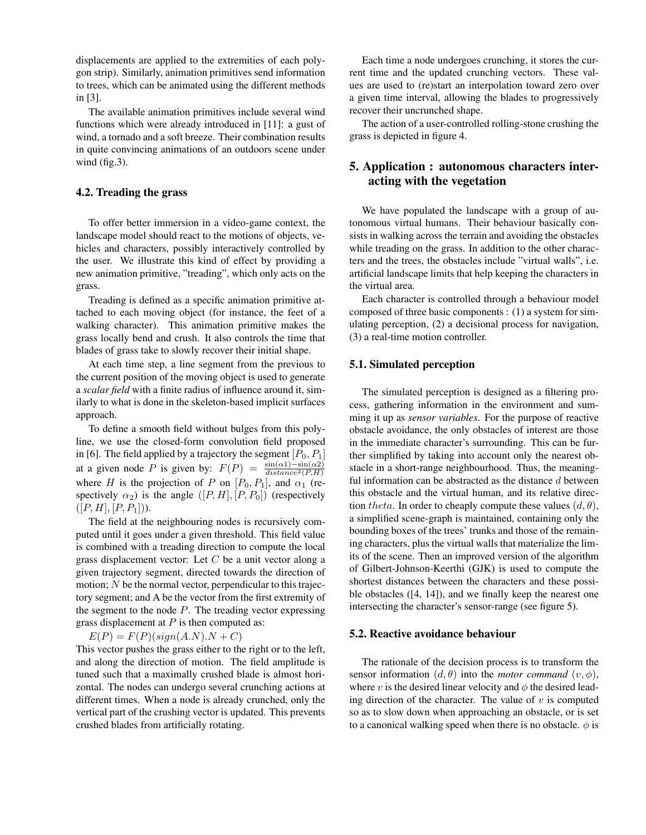displacements are applied to the extremities of each polygon strip). Similarly, animation primitives send information to trees, which can be animated using the different methods in [3].

The available animation primitives include several wind functions which were already introduced in [11]: a gust of wind, a tornado and a soft breeze. Their combination results in quite convincing animations of an outdoors scene under wind (fig.3).

#### **4.2. Treading the grass**

To offer better immersion in a video-game context, the landscape model should react to the motions of objects, vehicles and characters, possibly interactively controlled by the user. We illustrate this kind of effect by providing a new animation primitive, "treading", which only acts on the grass.

Treading is defined as a specific animation primitive attached to each moving object (for instance, the feet of a walking character). This animation primitive makes the grass locally bend and crush. It also controls the time that blades of grass take to slowly recover their initial shape.

At each time step, a line segment from the previous to the current position of the moving object is used to generate a *scalar field* with a finite radius of influence around it, similarly to what is done in the skeleton-based implicit surfaces approach.

To define a smooth field without bulges from this polyline, we use the closed-form convolution field proposed in [6]. The field applied by a trajectory the segment  $[P_0, P_1]$ at a given node P is given by:  $F(P) = \frac{\sin(\alpha 1) - \sin(\alpha 2)}{distance^2(P, H)}$ where H is the projection of P on  $[P_0, P_1]$ , and  $\alpha_1$  (respectively  $\alpha_2$ ) is the angle  $([P, H], [P, P_0])$  (respectively  $([P, H], [P, P_1]).$ 

The field at the neighbouring nodes is recursively computed until it goes under a given threshold. This field value is combined with a treading direction to compute the local grass displacement vector: Let  $C$  be a unit vector along a given trajectory segment, directed towards the direction of motion;  $N$  be the normal vector, perpendicular to this trajectory segment; and A be the vector from the first extremity of the segment to the node  $P$ . The treading vector expressing grass displacement at  $P$  is then computed as:

 $E(P) = F(P)(sign(A.N).N + C)$ 

This vector pushes the grass either to the right or to the left, and along the direction of motion. The field amplitude is tuned such that a maximally crushed blade is almost horizontal. The nodes can undergo several crunching actions at different times. When a node is already crunched, only the vertical part of the crushing vector is updated. This prevents crushed blades from artificially rotating.

Each time a node undergoes crunching, it stores the current time and the updated crunching vectors. These values are used to (re)start an interpolation toward zero over a given time interval, allowing the blades to progressively recover their uncrunched shape.

The action of a user-controlled rolling-stone crushing the grass is depicted in figure 4.

### **5. Application : autonomous characters interacting with the vegetation**

We have populated the landscape with a group of autonomous virtual humans. Their behaviour basically consists in walking across the terrain and avoiding the obstacles while treading on the grass. In addition to the other characters and the trees, the obstacles include "virtual walls", i.e. artificial landscape limits that help keeping the characters in the virtual area.

Each character is controlled through a behaviour model composed of three basic components : (1) a system for simulating perception, (2) a decisional process for navigation, (3) a real-time motion controller.

#### **5.1. Simulated perception**

The simulated perception is designed as a filtering process, gathering information in the environment and summing it up as *sensor variables*. For the purpose of reactive obstacle avoidance, the only obstacles of interest are those in the immediate character's surrounding. This can be further simplified by taking into account only the nearest obstacle in a short-range neighbourhood. Thus, the meaningful information can be abstracted as the distance  $d$  between this obstacle and the virtual human, and its relative direction theta. In order to cheaply compute these values  $(d, \theta)$ , a simplified scene-graph is maintained, containing only the bounding boxes of the trees' trunks and those of the remaining characters, plus the virtual walls that materialize the limits of the scene. Then an improved version of the algorithm of Gilbert-Johnson-Keerthi (GJK) is used to compute the shortest distances between the characters and these possible obstacles ([4, 14]), and we finally keep the nearest one intersecting the character's sensor-range (see figure 5).

#### **5.2. Reactive avoidance behaviour**

The rationale of the decision process is to transform the sensor information  $(d, \theta)$  into the *motor command*  $(v, \phi)$ , where v is the desired linear velocity and  $\phi$  the desired leading direction of the character. The value of  $v$  is computed so as to slow down when approaching an obstacle, or is set to a canonical walking speed when there is no obstacle.  $\phi$  is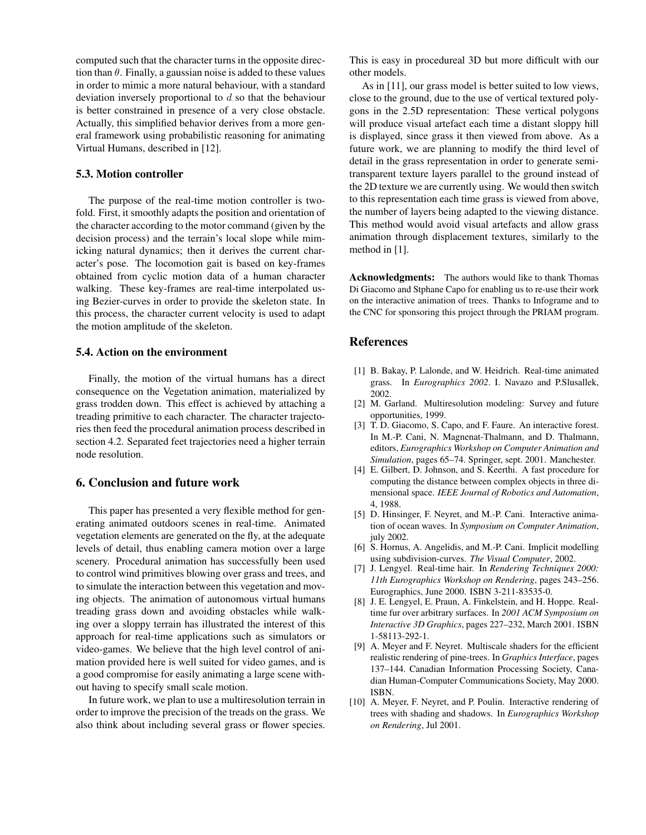computed such that the character turns in the opposite direction than  $\theta$ . Finally, a gaussian noise is added to these values in order to mimic a more natural behaviour, with a standard deviation inversely proportional to  $d$  so that the behaviour is better constrained in presence of a very close obstacle. Actually, this simplified behavior derives from a more general framework using probabilistic reasoning for animating Virtual Humans, described in [12].

#### **5.3. Motion controller**

The purpose of the real-time motion controller is twofold. First, it smoothly adapts the position and orientation of the character according to the motor command (given by the decision process) and the terrain's local slope while mimicking natural dynamics; then it derives the current character's pose. The locomotion gait is based on key-frames obtained from cyclic motion data of a human character walking. These key-frames are real-time interpolated using Bezier-curves in order to provide the skeleton state. In this process, the character current velocity is used to adapt the motion amplitude of the skeleton.

#### **5.4. Action on the environment**

Finally, the motion of the virtual humans has a direct consequence on the Vegetation animation, materialized by grass trodden down. This effect is achieved by attaching a treading primitive to each character. The character trajectories then feed the procedural animation process described in section 4.2. Separated feet trajectories need a higher terrain node resolution.

#### **6. Conclusion and future work**

This paper has presented a very flexible method for generating animated outdoors scenes in real-time. Animated vegetation elements are generated on the fly, at the adequate levels of detail, thus enabling camera motion over a large scenery. Procedural animation has successfully been used to control wind primitives blowing over grass and trees, and to simulate the interaction between this vegetation and moving objects. The animation of autonomous virtual humans treading grass down and avoiding obstacles while walking over a sloppy terrain has illustrated the interest of this approach for real-time applications such as simulators or video-games. We believe that the high level control of animation provided here is well suited for video games, and is a good compromise for easily animating a large scene without having to specify small scale motion.

In future work, we plan to use a multiresolution terrain in order to improve the precision of the treads on the grass. We also think about including several grass or flower species. This is easy in procedureal 3D but more difficult with our other models.

As in [11], our grass model is better suited to low views, close to the ground, due to the use of vertical textured polygons in the 2.5D representation: These vertical polygons will produce visual artefact each time a distant sloppy hill is displayed, since grass it then viewed from above. As a future work, we are planning to modify the third level of detail in the grass representation in order to generate semitransparent texture layers parallel to the ground instead of the 2D texture we are currently using. We would then switch to this representation each time grass is viewed from above, the number of layers being adapted to the viewing distance. This method would avoid visual artefacts and allow grass animation through displacement textures, similarly to the method in [1].

**Acknowledgments:** The authors would like to thank Thomas Di Giacomo and Stphane Capo for enabling us to re-use their work on the interactive animation of trees. Thanks to Infograme and to the CNC for sponsoring this project through the PRIAM program.

#### **References**

- [1] B. Bakay, P. Lalonde, and W. Heidrich. Real-time animated grass. In *Eurographics 2002*. I. Navazo and P.Slusallek, 2002.
- [2] M. Garland. Multiresolution modeling: Survey and future opportunities, 1999.
- [3] T. D. Giacomo, S. Capo, and F. Faure. An interactive forest. In M.-P. Cani, N. Magnenat-Thalmann, and D. Thalmann, editors, *Eurographics Workshop on Computer Animation and Simulation*, pages 65–74. Springer, sept. 2001. Manchester.
- [4] E. Gilbert, D. Johnson, and S. Keerthi. A fast procedure for computing the distance between complex objects in three dimensional space. *IEEE Journal of Robotics and Automation*, 4, 1988.
- [5] D. Hinsinger, F. Neyret, and M.-P. Cani. Interactive animation of ocean waves. In *Symposium on Computer Animation*, july 2002.
- [6] S. Hornus, A. Angelidis, and M.-P. Cani. Implicit modelling using subdivision-curves. *The Visual Computer*, 2002.
- [7] J. Lengyel. Real-time hair. In *Rendering Techniques 2000: 11th Eurographics Workshop on Rendering*, pages 243–256. Eurographics, June 2000. ISBN 3-211-83535-0.
- [8] J. E. Lengyel, E. Praun, A. Finkelstein, and H. Hoppe. Realtime fur over arbitrary surfaces. In *2001 ACM Symposium on Interactive 3D Graphics*, pages 227–232, March 2001. ISBN 1-58113-292-1.
- [9] A. Meyer and F. Neyret. Multiscale shaders for the efficient realistic rendering of pine-trees. In *Graphics Interface*, pages 137–144. Canadian Information Processing Society, Canadian Human-Computer Communications Society, May 2000. ISBN.
- [10] A. Meyer, F. Neyret, and P. Poulin. Interactive rendering of trees with shading and shadows. In *Eurographics Workshop on Rendering*, Jul 2001.